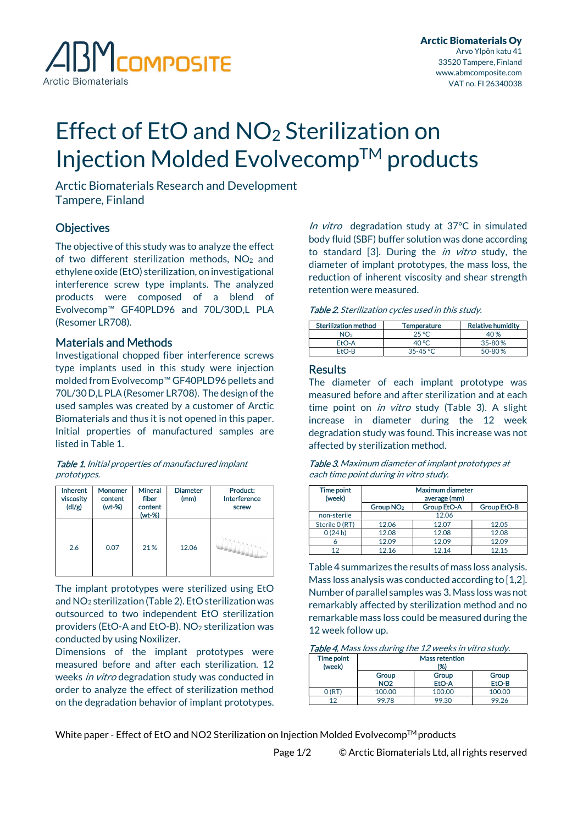

# Effect of EtO and NO<sub>2</sub> Sterilization on Injection Molded Evolvecomp™ products

Arctic Biomaterials Research and Development Tampere, Finland

## **Objectives**

The objective of this study was to analyze the effect of two different sterilization methods, NO<sub>2</sub> and ethylene oxide (EtO) sterilization, on investigational interference screw type implants. The analyzed products were composed of a blend of Evolvecomp™ GF40PLD96 and 70L/30D,L PLA (Resomer LR708).

## Materials and Methods

Investigational chopped fiber interference screws type implants used in this study were injection molded from Evolvecomp™ GF40PLD96 pellets and 70L/30 D,L PLA (Resomer LR708). The design of the used samples was created by a customer of Arctic Biomaterials and thus it is not opened in this paper. Initial properties of manufactured samples are listed in Table 1.

Table 1. Initial properties of manufactured implant prototypes.

| <b>Inherent</b><br>viscosity<br>$\frac{dI}{g}$ | <b>Monomer</b><br>content<br>$(wt-%)$ | <b>Mineral</b><br>fiber<br>content<br>(wt-%) | <b>Diameter</b><br>(mm) | Product:<br>Interference<br>screw |
|------------------------------------------------|---------------------------------------|----------------------------------------------|-------------------------|-----------------------------------|
| 2.6                                            | 0.07                                  | 21%                                          | 12.06                   |                                   |

The implant prototypes were sterilized using EtO and NO2 sterilization (Table 2). EtO sterilization was outsourced to two independent EtO sterilization providers (EtO-A and EtO-B). NO2 sterilization was conducted by using Noxilizer.

Dimensions of the implant prototypes were measured before and after each sterilization. 12 weeks in vitro degradation study was conducted in order to analyze the effect of sterilization method on the degradation behavior of implant prototypes.

In vitro degradation study at 37°C in simulated body fluid (SBF) buffer solution was done according to standard [3]. During the *in vitro* study, the diameter of implant prototypes, the mass loss, the reduction of inherent viscosity and shear strength retention were measured.

| <b>Sterilization method</b> | Temperature  | <b>Relative humidity</b> |
|-----------------------------|--------------|--------------------------|
| NO2                         | 25 °C        | 40 %                     |
| $FtO-A$                     | 40 °C        | $35 - 80%$               |
| $FfO-R$                     | $35 - 45$ °C | $50 - 80%$               |

### **Results**

The diameter of each implant prototype was measured before and after sterilization and at each time point on *in vitro* study (Table 3). A slight increase in diameter during the 12 week degradation study was found. This increase was not affected by sterilization method.

| <b>Table 3.</b> Maximum diameter of implant prototypes at |
|-----------------------------------------------------------|
| each time point during in vitro study.                    |

| Time point<br>(week) | Maximum diameter<br>average (mm) |                    |                    |
|----------------------|----------------------------------|--------------------|--------------------|
|                      | Group NO <sub>2</sub>            | <b>Group EtO-A</b> | <b>Group EtO-B</b> |
| non-sterile          |                                  | 12.06              |                    |
| Sterile 0 (RT)       | 12.06                            | 12.07              | 12.05              |
| 0(24h)               | 12.08                            | 12.08              | 12.08              |
|                      | 12.09                            | 12.09              | 12.09              |
| 12                   | 12.16                            | 12.14              | 12.15              |

Table 4 summarizes the results of mass loss analysis. Mass loss analysis was conducted according to [1,2]. Number of parallel samples was 3. Mass loss was not remarkably affected by sterilization method and no remarkable mass loss could be measured during the 12 week follow up.

| Table 4. Mass loss during the 12 weeks in vitro study. |  |  |
|--------------------------------------------------------|--|--|
|                                                        |  |  |

| Time point | <b>Mass retention</b> |        |        |  |
|------------|-----------------------|--------|--------|--|
| (week)     | (%)                   |        |        |  |
|            | Group                 | Group  | Group  |  |
|            | <b>NO2</b>            | EtO-A  | EtO-B  |  |
|            | 100.00                | 100.00 | 100.00 |  |
| 12         | 99.78                 | 99.30  | 99.26  |  |

White paper - Effect of EtO and NO2 Sterilization on Injection Molded Evolvecomp™ products

Page 1/2 © Arctic Biomaterials Ltd, all rights reserved